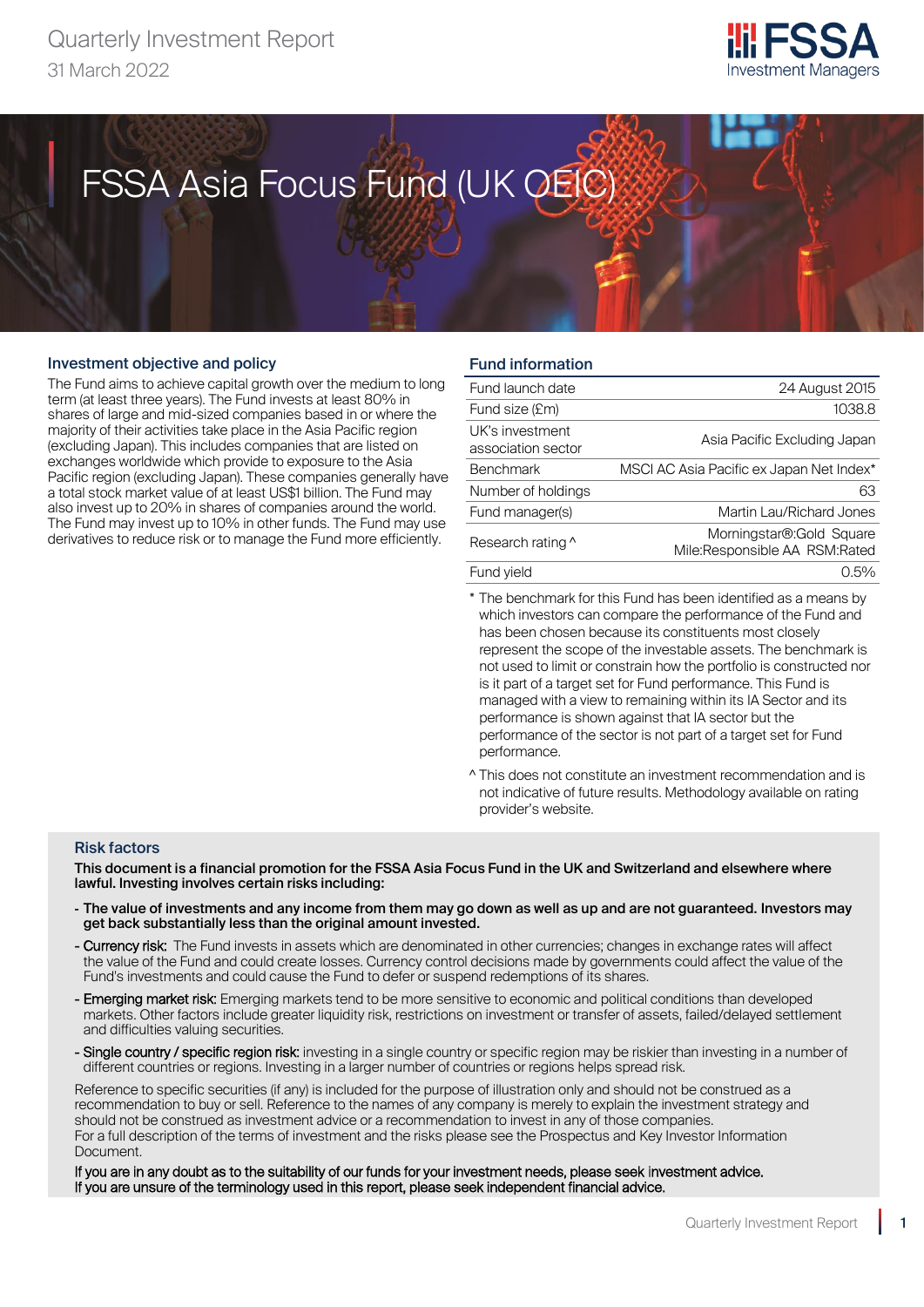## Quarterly Investment Report 31 March 2022



# FSSA Asia Focus Fund (UK OEIC) FSSA Asia Focus Fund (UK OEIC)

#### Investment objective and policy

Quarterly Investment Report

The Fund aims to achieve capital growth over the medium to long term (at least three years). The Fund invests at least 80% in shares of large and mid-sized companies based in or where the majority of their activities take place in the Asia Pacific region (excluding Japan). This includes companies that are listed on exchanges worldwide which provide to exposure to the Asia Pacific region (excluding Japan). These companies generally have a total stock market value of at least US\$1 billion. The Fund may also invest up to 20% in shares of companies around the world. The Fund may invest up to 10% in other funds. The Fund may use derivatives to reduce risk or to manage the Fund more efficiently.

#### Fund information

| Fund launch date                      | 24 August 2015                                             |
|---------------------------------------|------------------------------------------------------------|
| Fund size (£m)                        | 1038.8                                                     |
| UK's investment<br>association sector | Asia Pacific Excluding Japan                               |
| <b>Benchmark</b>                      | MSCI AC Asia Pacific ex Japan Net Index*                   |
| Number of holdings                    | 63                                                         |
| Fund manager(s)                       | Martin Lau/Richard Jones                                   |
| Research rating ^                     | Morningstar®: Gold Square<br>Mile:Responsible AA RSM:Rated |
| Fund vield                            | $0.5\%$                                                    |
|                                       |                                                            |

\* The benchmark for this Fund has been identified as a means by which investors can compare the performance of the Fund and has been chosen because its constituents most closely represent the scope of the investable assets. The benchmark is not used to limit or constrain how the portfolio is constructed nor is it part of a target set for Fund performance. This Fund is managed with a view to remaining within its IA Sector and its performance is shown against that IA sector but the performance of the sector is not part of a target set for Fund performance.

^ This does not constitute an investment recommendation and is not indicative of future results. Methodology available on rating provider's website.

#### Risk factors

This document is a financial promotion for the FSSA Asia Focus Fund in the UK and Switzerland and elsewhere where lawful. Investing involves certain risks including:

- The value of investments and any income from them may go down as well as up and are not guaranteed. Investors may get back substantially less than the original amount invested.
- Currency risk: The Fund invests in assets which are denominated in other currencies; changes in exchange rates will affect the value of the Fund and could create losses. Currency control decisions made by governments could affect the value of the Fund's investments and could cause the Fund to defer or suspend redemptions of its shares.
- Emerging market risk: Emerging markets tend to be more sensitive to economic and political conditions than developed markets. Other factors include greater liquidity risk, restrictions on investment or transfer of assets, failed/delayed settlement and difficulties valuing securities.
- Single country / specific region risk: investing in a single country or specific region may be riskier than investing in a number of different countries or regions. Investing in a larger number of countries or regions helps spread risk.

Reference to specific securities (if any) is included for the purpose of illustration only and should not be construed as a recommendation to buy or sell. Reference to the names of any company is merely to explain the investment strategy and should not be construed as investment advice or a recommendation to invest in any of those companies. For a full description of the terms of investment and the risks please see the Prospectus and Key Investor Information Document.

If you are in any doubt as to the suitability of our funds for your investment needs, please seek investment advice. If you are unsure of the terminology used in this report, please seek independent financial advice.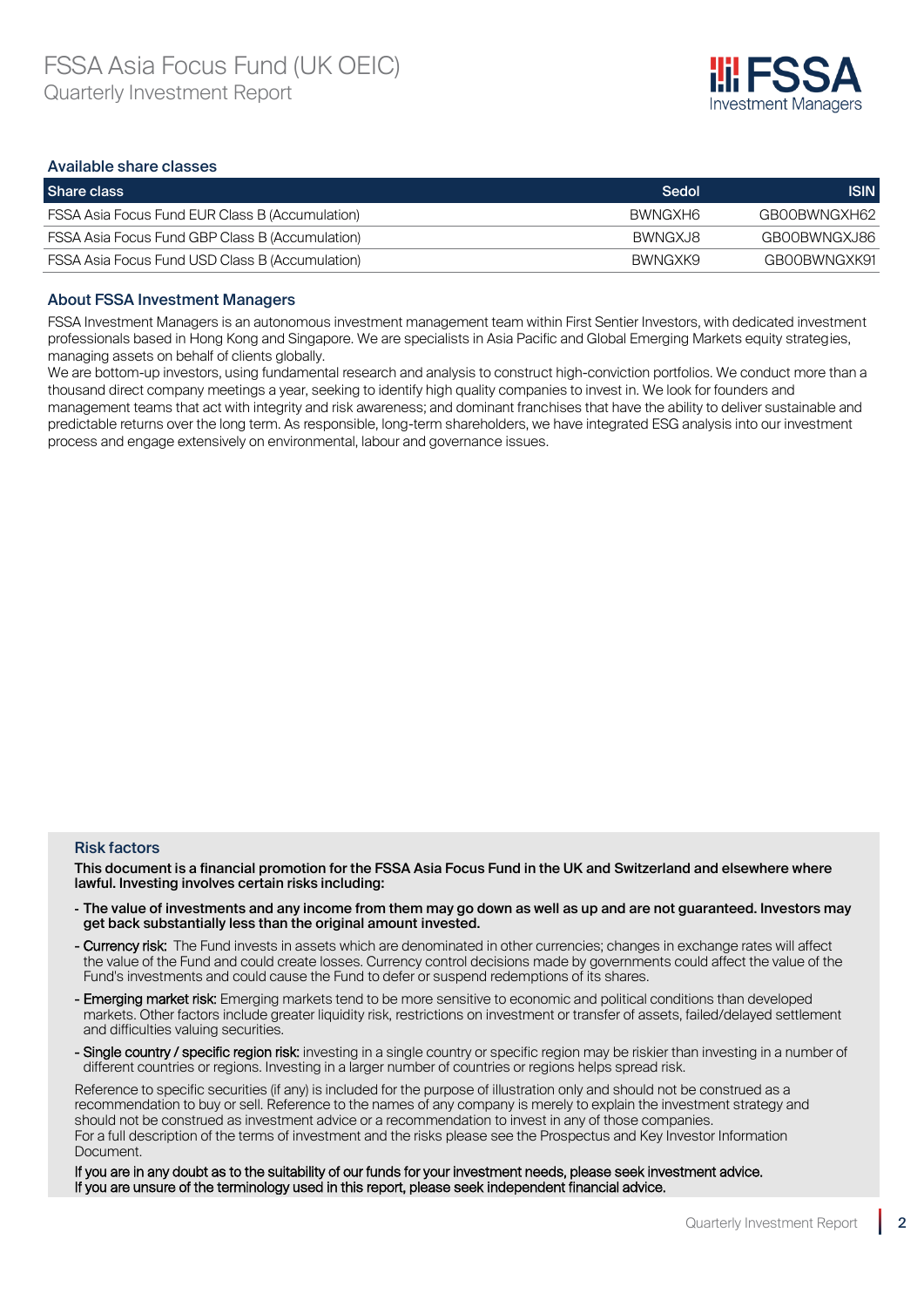

#### Available share classes

| Share class                                            | Sedol    | <b>ISIN</b>  |
|--------------------------------------------------------|----------|--------------|
| <b>FSSA Asia Focus Fund EUR Class B (Accumulation)</b> | BWNGXH6  | GBOOBWNGXH62 |
| <b>FSSA Asia Focus Fund GBP Class B (Accumulation)</b> | BWNGX.I8 | GB00BWNGXJ86 |
| FSSA Asia Focus Fund USD Class B (Accumulation)        | BWNGXK9  | GBOOBWNGXK91 |

#### About FSSA Investment Managers

FSSA Investment Managers is an autonomous investment management team within First Sentier Investors, with dedicated investment professionals based in Hong Kong and Singapore. We are specialists in Asia Pacific and Global Emerging Markets equity strategies, managing assets on behalf of clients globally.

We are bottom-up investors, using fundamental research and analysis to construct high-conviction portfolios. We conduct more than a thousand direct company meetings a year, seeking to identify high quality companies to invest in. We look for founders and management teams that act with integrity and risk awareness; and dominant franchises that have the ability to deliver sustainable and predictable returns over the long term. As responsible, long-term shareholders, we have integrated ESG analysis into our investment process and engage extensively on environmental, labour and governance issues.

#### Risk factors

This document is a financial promotion for the FSSA Asia Focus Fund in the UK and Switzerland and elsewhere where lawful. Investing involves certain risks including:

- The value of investments and any income from them may go down as well as up and are not guaranteed. Investors may get back substantially less than the original amount invested.
- Currency risk: The Fund invests in assets which are denominated in other currencies; changes in exchange rates will affect the value of the Fund and could create losses. Currency control decisions made by governments could affect the value of the Fund's investments and could cause the Fund to defer or suspend redemptions of its shares.
- Emerging market risk: Emerging markets tend to be more sensitive to economic and political conditions than developed markets. Other factors include greater liquidity risk, restrictions on investment or transfer of assets, failed/delayed settlement and difficulties valuing securities.
- Single country / specific region risk: investing in a single country or specific region may be riskier than investing in a number of different countries or regions. Investing in a larger number of countries or regions helps spread risk.

Reference to specific securities (if any) is included for the purpose of illustration only and should not be construed as a recommendation to buy or sell. Reference to the names of any company is merely to explain the investment strategy and should not be construed as investment advice or a recommendation to invest in any of those companies. For a full description of the terms of investment and the risks please see the Prospectus and Key Investor Information Document.

If you are in any doubt as to the suitability of our funds for your investment needs, please seek investment advice. If you are unsure of the terminology used in this report, please seek independent financial advice.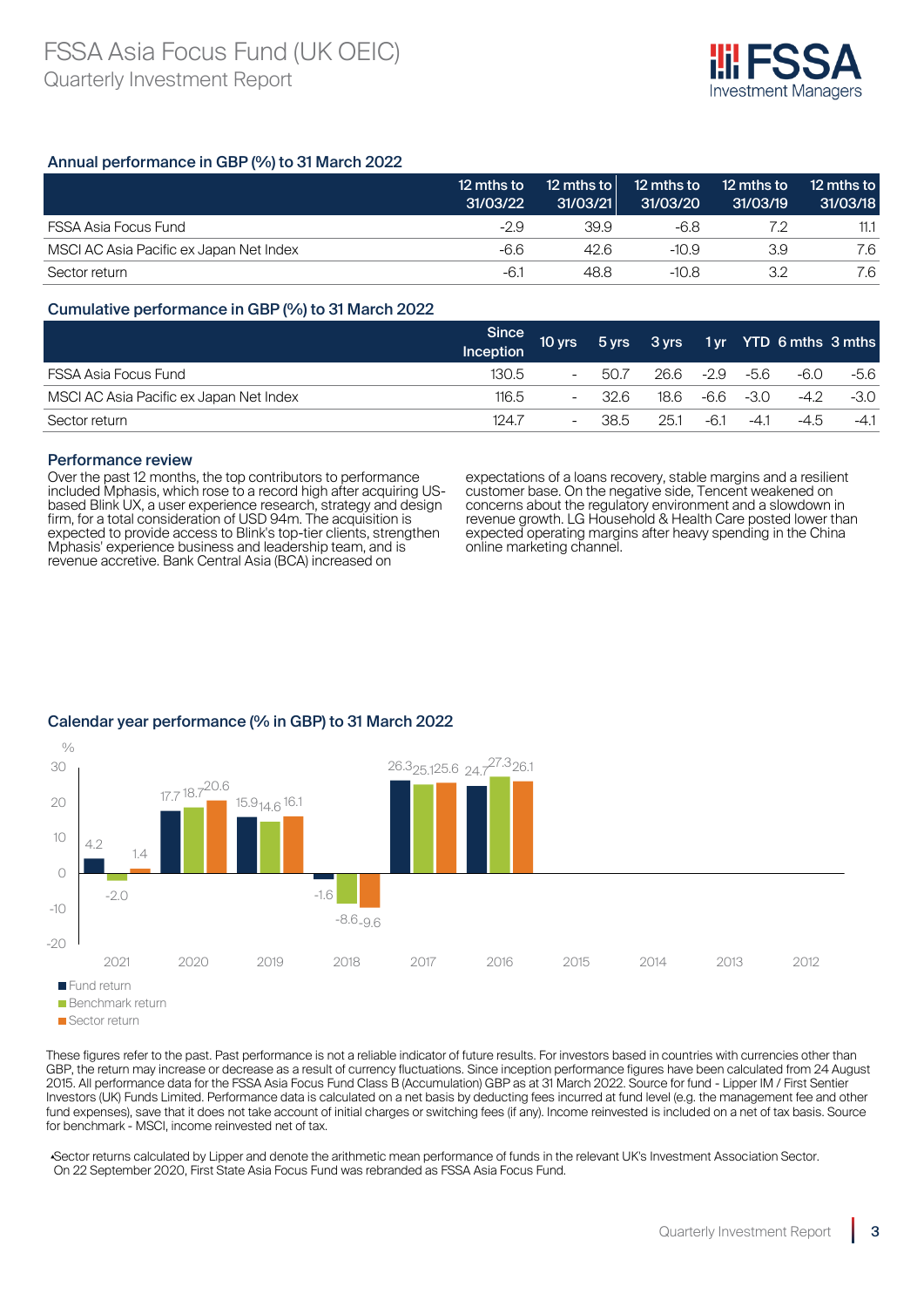

#### Annual performance in GBP (%) to 31 March 2022

|                                         | 12 mths to<br>31/03/22 | 12 mths to<br>31/03/21 | 12 mths to<br>31/03/20 | 12 mths to<br>31/03/19 | 12 mths to<br>31/03/18 |
|-----------------------------------------|------------------------|------------------------|------------------------|------------------------|------------------------|
| FSSA Asia Focus Fund                    | -2.9                   | 39.9                   | -6.8                   |                        | 11.1                   |
| MSCI AC Asia Pacific ex Japan Net Index | -6.6                   | 42.6                   | $-10.9$                | 3.9                    | 7.6                    |
| Sector return                           | -6.1                   | 48.8                   | $-10.8$                | マク                     | 7.6                    |

#### Cumulative performance in GBP (%) to 31 March 2022

|                                         | <b>Since</b><br>Inception | 10 yrs $^{\dagger}$      |      |      |        |           | 5 yrs 3 yrs 1 yr YTD 6 mths 3 mths |        |
|-----------------------------------------|---------------------------|--------------------------|------|------|--------|-----------|------------------------------------|--------|
| FSSA Asia Focus Fund                    | 130.5                     | $\overline{\phantom{a}}$ | 50.7 | 26.6 | -2.9   | -5.6      | -6.0                               | -5.6   |
| MSCI AC Asia Pacific ex Japan Net Index | 116.5                     | $\overline{\phantom{a}}$ | 32.6 | 18.6 |        | -6.6 -3.0 | $-4.2$                             | $-3.0$ |
| Sector return                           | 1247                      | $\overline{\phantom{a}}$ | 38.5 | 25.1 | $-6.1$ | $-41$     | $-4.5$                             | $-4.1$ |

#### Performance review

Over the past 12 months, the top contributors to performance included Mphasis, which rose to a record high after acquiring USbased Blink UX, a user experience research, strategy and design firm, for a total consideration of USD 94m. The acquisition is expected to provide access to Blink's top-tier clients, strengthen Mphasis' experience business and leadership team, and is revenue accretive. Bank Central Asia (BCA) increased on

expectations of a loans recovery, stable margins and a resilient customer base. On the negative side, Tencent weakened on concerns about the regulatory environment and a slowdown in revenue growth. LG Household & Health Care posted lower than expected operating margins after heavy spending in the China online marketing channel.



### Calendar year performance (% in GBP) to 31 March 2022

These figures refer to the past. Past performance is not a reliable indicator of future results. For investors based in countries with currencies other than GBP, the return may increase or decrease as a result of currency fluctuations. Since inception performance figures have been calculated from 24 August 2015. All performance data for the FSSA Asia Focus Fund Class B (Accumulation) GBP as at 31 March 2022. Source for fund - Lipper IM / First Sentier Investors (UK) Funds Limited. Performance data is calculated on a net basis by deducting fees incurred at fund level (e.g. the management fee and other fund expenses), save that it does not take account of initial charges or switching fees (if any). Income reinvested is included on a net of tax basis. Source for benchmark - MSCI, income reinvested net of tax.

▴Sector returns calculated by Lipper and denote the arithmetic mean performance of funds in the relevant UK's Investment Association Sector. On 22 September 2020, First State Asia Focus Fund was rebranded as FSSA Asia Focus Fund.

**Sector return**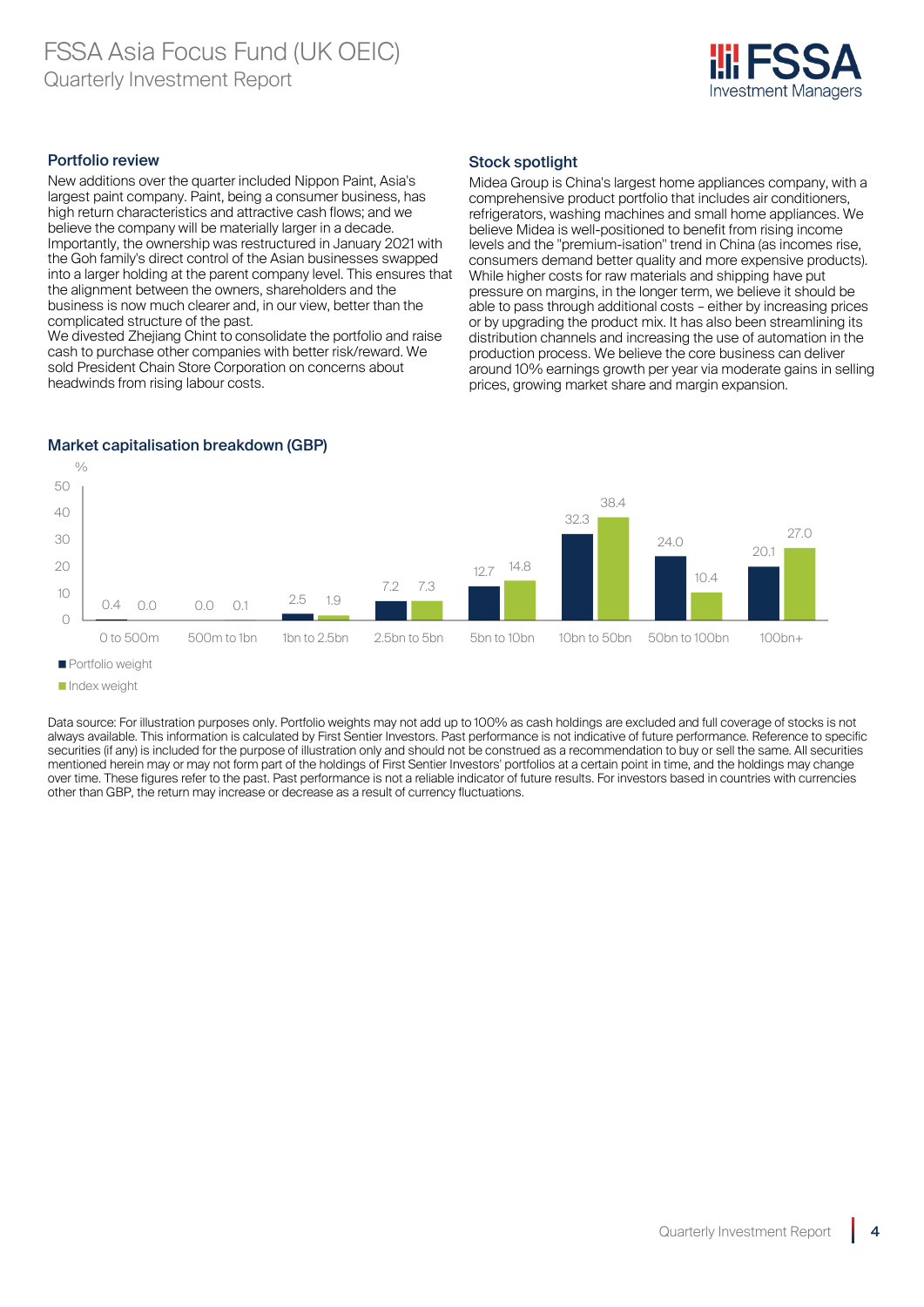

#### Portfolio review

New additions over the quarter included Nippon Paint, Asia's largest paint company. Paint, being a consumer business, has high return characteristics and attractive cash flows; and we believe the company will be materially larger in a decade. Importantly, the ownership was restructured in January 2021 with the Goh family's direct control of the Asian businesses swapped into a larger holding at the parent company level. This ensures that the alignment between the owners, shareholders and the business is now much clearer and, in our view, better than the complicated structure of the past.

We divested Zheijang Chint to consolidate the portfolio and raise cash to purchase other companies with better risk/reward. We sold President Chain Store Corporation on concerns about headwinds from rising labour costs.

#### Stock spotlight

Midea Group is China's largest home appliances company, with a comprehensive product portfolio that includes air conditioners, refrigerators, washing machines and small home appliances. We believe Midea is well-positioned to benefit from rising income levels and the "premium-isation" trend in China (as incomes rise, consumers demand better quality and more expensive products). While higher costs for raw materials and shipping have put pressure on margins, in the longer term, we believe it should be able to pass through additional costs – either by increasing prices or by upgrading the product mix. It has also been streamlining its distribution channels and increasing the use of automation in the production process. We believe the core business can deliver around 10% earnings growth per year via moderate gains in selling prices, growing market share and margin expansion.



#### Market capitalisation breakdown (GBP)

Data source: For illustration purposes only. Portfolio weights may not add up to 100% as cash holdings are excluded and full coverage of stocks is not always available. This information is calculated by First Sentier Investors. Past performance is not indicative of future performance. Reference to specific securities (if any) is included for the purpose of illustration only and should not be construed as a recommendation to buy or sell the same. All securities mentioned herein may or may not form part of the holdings of First Sentier Investors' portfolios at a certain point in time, and the holdings may change over time. These figures refer to the past. Past performance is not a reliable indicator of future results. For investors based in countries with currencies other than GBP, the return may increase or decrease as a result of currency fluctuations.

**Portfolio weight** 

**Index weight**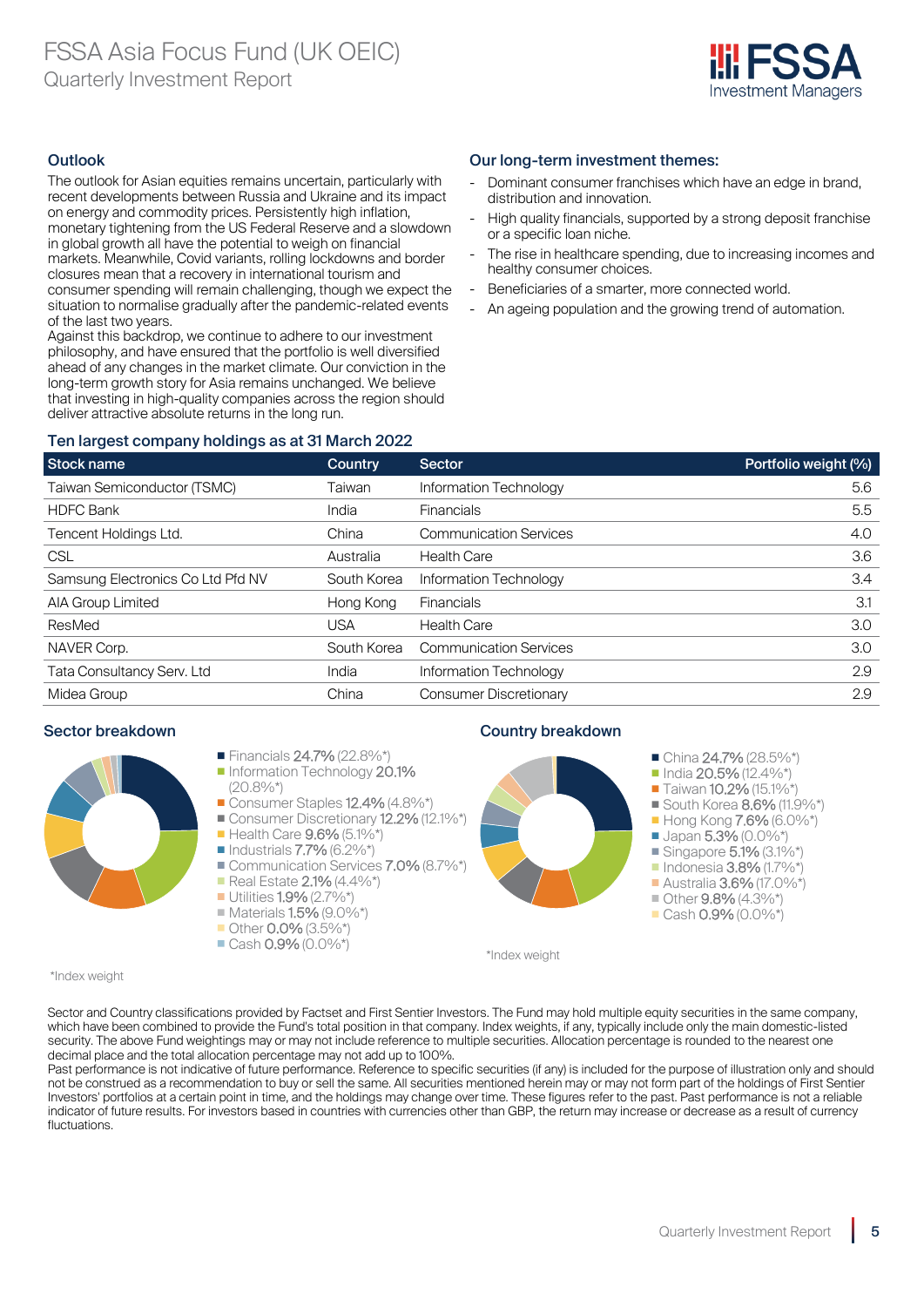

#### **Outlook**

The outlook for Asian equities remains uncertain, particularly with recent developments between Russia and Ukraine and its impact on energy and commodity prices. Persistently high inflation, monetary tightening from the US Federal Reserve and a slowdown in global growth all have the potential to weigh on financial markets. Meanwhile, Covid variants, rolling lockdowns and border closures mean that a recovery in international tourism and consumer spending will remain challenging, though we expect the situation to normalise gradually after the pandemic-related events of the last two years.

Against this backdrop, we continue to adhere to our investment philosophy, and have ensured that the portfolio is well diversified ahead of any changes in the market climate. Our conviction in the long-term growth story for Asia remains unchanged. We believe that investing in high-quality companies across the region should deliver attractive absolute returns in the long run.

#### Our long-term investment themes:

- Dominant consumer franchises which have an edge in brand. distribution and innovation.
- High quality financials, supported by a strong deposit franchise or a specific loan niche.
- The rise in healthcare spending, due to increasing incomes and healthy consumer choices.
- Beneficiaries of a smarter, more connected world.
- An ageing population and the growing trend of automation.

#### Ten largest company holdings as at 31 March 2022

| <b>Stock name</b>                 | <b>Country</b> | <b>Sector</b>                 | Portfolio weight (%) |
|-----------------------------------|----------------|-------------------------------|----------------------|
| Taiwan Semiconductor (TSMC)       | Taiwan         | Information Technology        | 5.6                  |
| <b>HDFC Bank</b>                  | India          | <b>Financials</b>             | 5.5                  |
| Tencent Holdings Ltd.             | China          | <b>Communication Services</b> | 4.0                  |
| <b>CSL</b>                        | Australia      | <b>Health Care</b>            | 3.6                  |
| Samsung Electronics Co Ltd Pfd NV | South Korea    | Information Technology        | 3.4                  |
| AIA Group Limited                 | Hong Kong      | <b>Financials</b>             | 3.1                  |
| ResMed                            | <b>USA</b>     | <b>Health Care</b>            | 3.0                  |
| NAVER Corp.                       | South Korea    | <b>Communication Services</b> | 3.0                  |
| Tata Consultancy Serv. Ltd        | India          | Information Technology        | 2.9                  |
| Midea Group                       | China          | <b>Consumer Discretionary</b> | 2.9                  |



#### Sector breakdown **Country breakdown Country breakdown**



\*Index weight

\*Index weight

Sector and Country classifications provided by Factset and First Sentier Investors. The Fund may hold multiple equity securities in the same company, which have been combined to provide the Fund's total position in that company. Index weights, if any, typically include only the main domestic-listed security. The above Fund weightings may or may not include reference to multiple securities. Allocation percentage is rounded to the nearest one decimal place and the total allocation percentage may not add up to 100%.

Past performance is not indicative of future performance. Reference to specific securities (if any) is included for the purpose of illustration only and should not be construed as a recommendation to buy or sell the same. All securities mentioned herein may or may not form part of the holdings of First Sentier Investors' portfolios at a certain point in time, and the holdings may change over time. These figures refer to the past. Past performance is not a reliable indicator of future results. For investors based in countries with currencies other than GBP, the return may increase or decrease as a result of currency fluctuations.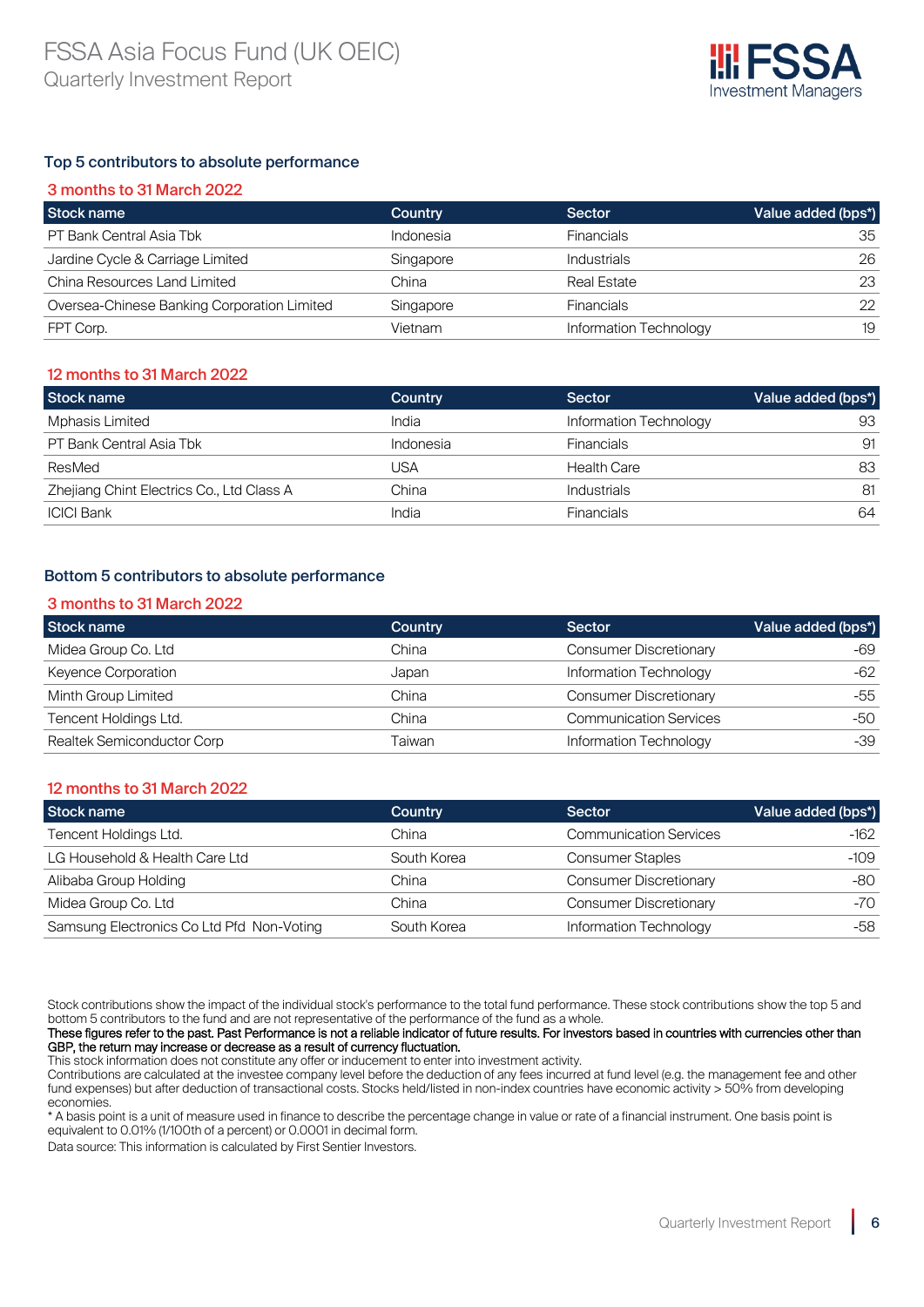

#### Top 5 contributors to absolute performance

| 3 months to 31 March 2022                   |           |                        |                    |
|---------------------------------------------|-----------|------------------------|--------------------|
| Stock name                                  | Country   | Sector                 | Value added (bps*) |
| PT Bank Central Asia Tbk                    | Indonesia | <b>Financials</b>      | 35                 |
| Jardine Cycle & Carriage Limited            | Singapore | <b>Industrials</b>     | 26                 |
| China Resources Land Limited                | China     | Real Estate            | 23                 |
| Oversea-Chinese Banking Corporation Limited | Singapore | <b>Financials</b>      | 22                 |
| FPT Corp.                                   | Vietnam   | Information Technology | 19                 |

#### 12 months to 31 March 2022

| Stock name                                | Country   | Sector                 | Value added (bps*) |
|-------------------------------------------|-----------|------------------------|--------------------|
| <b>Mphasis Limited</b>                    | India     | Information Technology | 93                 |
| PT Bank Central Asia Tbk                  | Indonesia | <b>Financials</b>      | 91                 |
| ResMed                                    | JSA       | <b>Health Care</b>     | 83                 |
| Zhejiang Chint Electrics Co., Ltd Class A | China     | Industrials            | 81                 |
| <b>ICICI Bank</b>                         | India     | <b>Financials</b>      | 64                 |

#### Bottom 5 contributors to absolute performance

#### 3 months to 31 March 2022

| Stock name                 | <b>Country</b> | Sector                        | Value added (bps*) |
|----------------------------|----------------|-------------------------------|--------------------|
| Midea Group Co. Ltd        | China          | <b>Consumer Discretionary</b> | -69                |
| Keyence Corporation        | Japan          | Information Technology        | $-62$              |
| Minth Group Limited        | China          | <b>Consumer Discretionary</b> | -55                |
| Tencent Holdings Ltd.      | China          | <b>Communication Services</b> | -50                |
| Realtek Semiconductor Corp | Taiwan         | Information Technology        | -39                |

#### 12 months to 31 March 2022

| Stock name                                | Country     | <b>Sector</b>                 | Value added (bps*) |
|-------------------------------------------|-------------|-------------------------------|--------------------|
| Tencent Holdings Ltd.                     | China       | <b>Communication Services</b> | -162               |
| LG Household & Health Care Ltd            | South Korea | <b>Consumer Staples</b>       | -109               |
| Alibaba Group Holding                     | China       | <b>Consumer Discretionary</b> | -80                |
| Midea Group Co. Ltd                       | China       | <b>Consumer Discretionary</b> | -70                |
| Samsung Electronics Co Ltd Pfd Non-Voting | South Korea | Information Technology        | -58                |

Stock contributions show the impact of the individual stock's performance to the total fund performance. These stock contributions show the top 5 and bottom 5 contributors to the fund and are not representative of the performance of the fund as a whole.

These figures refer to the past. Past Performance is not a reliable indicator of future results. For investors based in countries with currencies other than GBP, the return may increase or decrease as a result of currency fluctuation.

This stock information does not constitute any offer or inducement to enter into investment activity.

Contributions are calculated at the investee company level before the deduction of any fees incurred at fund level (e.g. the management fee and other fund expenses) but after deduction of transactional costs. Stocks held/listed in non-index countries have economic activity > 50% from developing economies.

\* A basis point is a unit of measure used in finance to describe the percentage change in value or rate of a financial instrument. One basis point is equivalent to 0.01% (1/100th of a percent) or 0.0001 in decimal form.

Data source: This information is calculated by First Sentier Investors.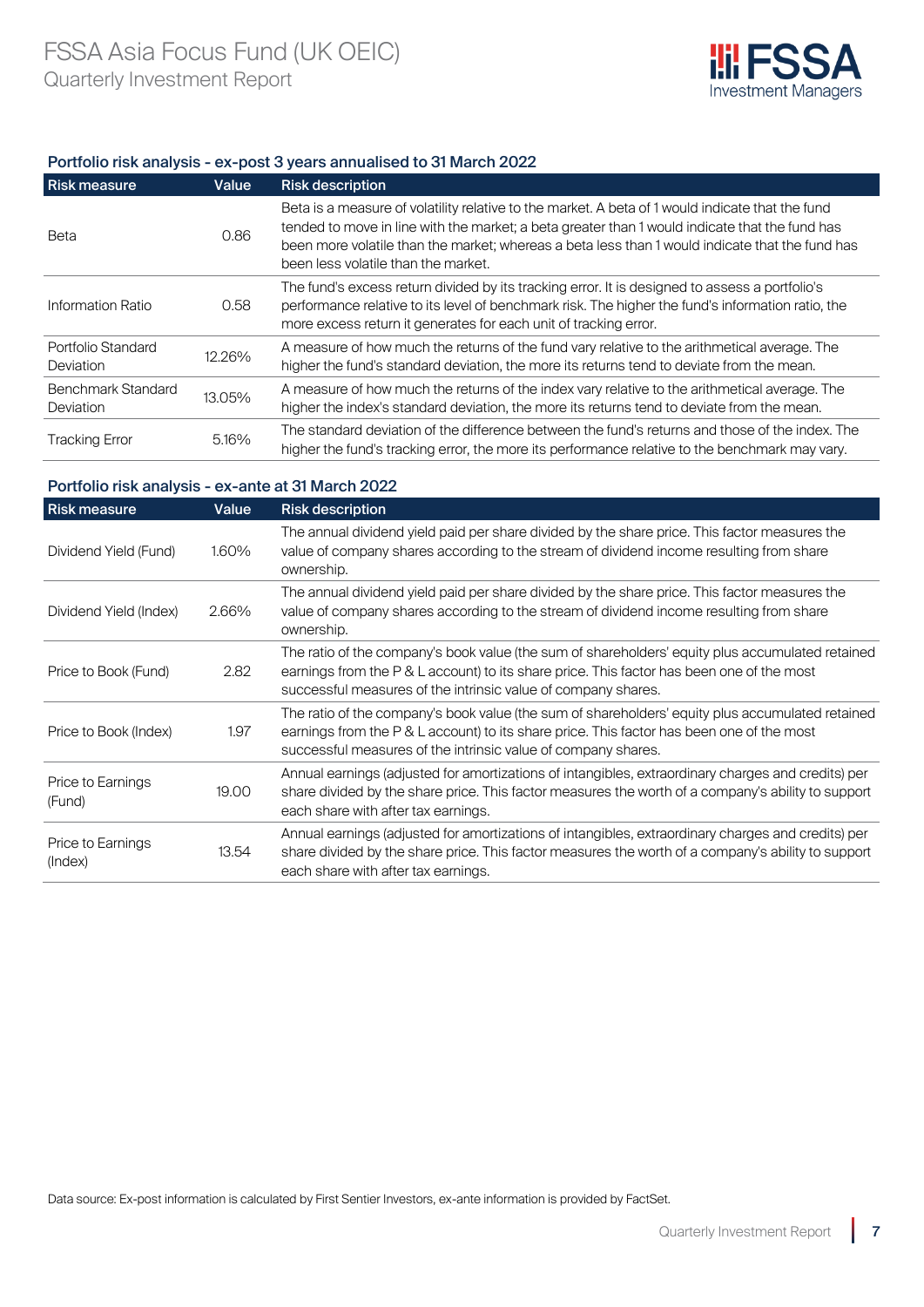

#### Portfolio risk analysis - ex-post 3 years annualised to 31 March 2022

| <b>Risk measure</b>                           | Value  | <b>Risk description</b>                                                                                                                                                                                                                                                                                                                      |
|-----------------------------------------------|--------|----------------------------------------------------------------------------------------------------------------------------------------------------------------------------------------------------------------------------------------------------------------------------------------------------------------------------------------------|
| Beta                                          | 0.86   | Beta is a measure of volatility relative to the market. A beta of 1 would indicate that the fund<br>tended to move in line with the market; a beta greater than 1 would indicate that the fund has<br>been more volatile than the market; whereas a beta less than 1 would indicate that the fund has<br>been less volatile than the market. |
| Information Ratio                             | 0.58   | The fund's excess return divided by its tracking error. It is designed to assess a portfolio's<br>performance relative to its level of benchmark risk. The higher the fund's information ratio, the<br>more excess return it generates for each unit of tracking error.                                                                      |
| Portfolio Standard<br><b>Deviation</b>        | 12.26% | A measure of how much the returns of the fund vary relative to the arithmetical average. The<br>higher the fund's standard deviation, the more its returns tend to deviate from the mean.                                                                                                                                                    |
| <b>Benchmark Standard</b><br><b>Deviation</b> | 13.05% | A measure of how much the returns of the index vary relative to the arithmetical average. The<br>higher the index's standard deviation, the more its returns tend to deviate from the mean.                                                                                                                                                  |
| <b>Tracking Error</b>                         | 5.16%  | The standard deviation of the difference between the fund's returns and those of the index. The<br>higher the fund's tracking error, the more its performance relative to the benchmark may vary.                                                                                                                                            |

#### Portfolio risk analysis - ex-ante at 31 March 2022

| <b>Risk measure</b>          | Value | <b>Risk description</b>                                                                                                                                                                                                                                        |
|------------------------------|-------|----------------------------------------------------------------------------------------------------------------------------------------------------------------------------------------------------------------------------------------------------------------|
| Dividend Yield (Fund)        | 1.60% | The annual dividend yield paid per share divided by the share price. This factor measures the<br>value of company shares according to the stream of dividend income resulting from share<br>ownership.                                                         |
| Dividend Yield (Index)       | 2.66% | The annual dividend yield paid per share divided by the share price. This factor measures the<br>value of company shares according to the stream of dividend income resulting from share<br>ownership.                                                         |
| Price to Book (Fund)         | 2.82  | The ratio of the company's book value (the sum of shareholders' equity plus accumulated retained<br>earnings from the P & L account) to its share price. This factor has been one of the most<br>successful measures of the intrinsic value of company shares. |
| Price to Book (Index)        | 1.97  | The ratio of the company's book value (the sum of shareholders' equity plus accumulated retained<br>earnings from the P & L account) to its share price. This factor has been one of the most<br>successful measures of the intrinsic value of company shares. |
| Price to Earnings<br>(Fund)  | 19.00 | Annual earnings (adjusted for amortizations of intangibles, extraordinary charges and credits) per<br>share divided by the share price. This factor measures the worth of a company's ability to support<br>each share with after tax earnings.                |
| Price to Earnings<br>(Index) | 13.54 | Annual earnings (adjusted for amortizations of intangibles, extraordinary charges and credits) per<br>share divided by the share price. This factor measures the worth of a company's ability to support<br>each share with after tax earnings.                |

Data source: Ex-post information is calculated by First Sentier Investors, ex-ante information is provided by FactSet.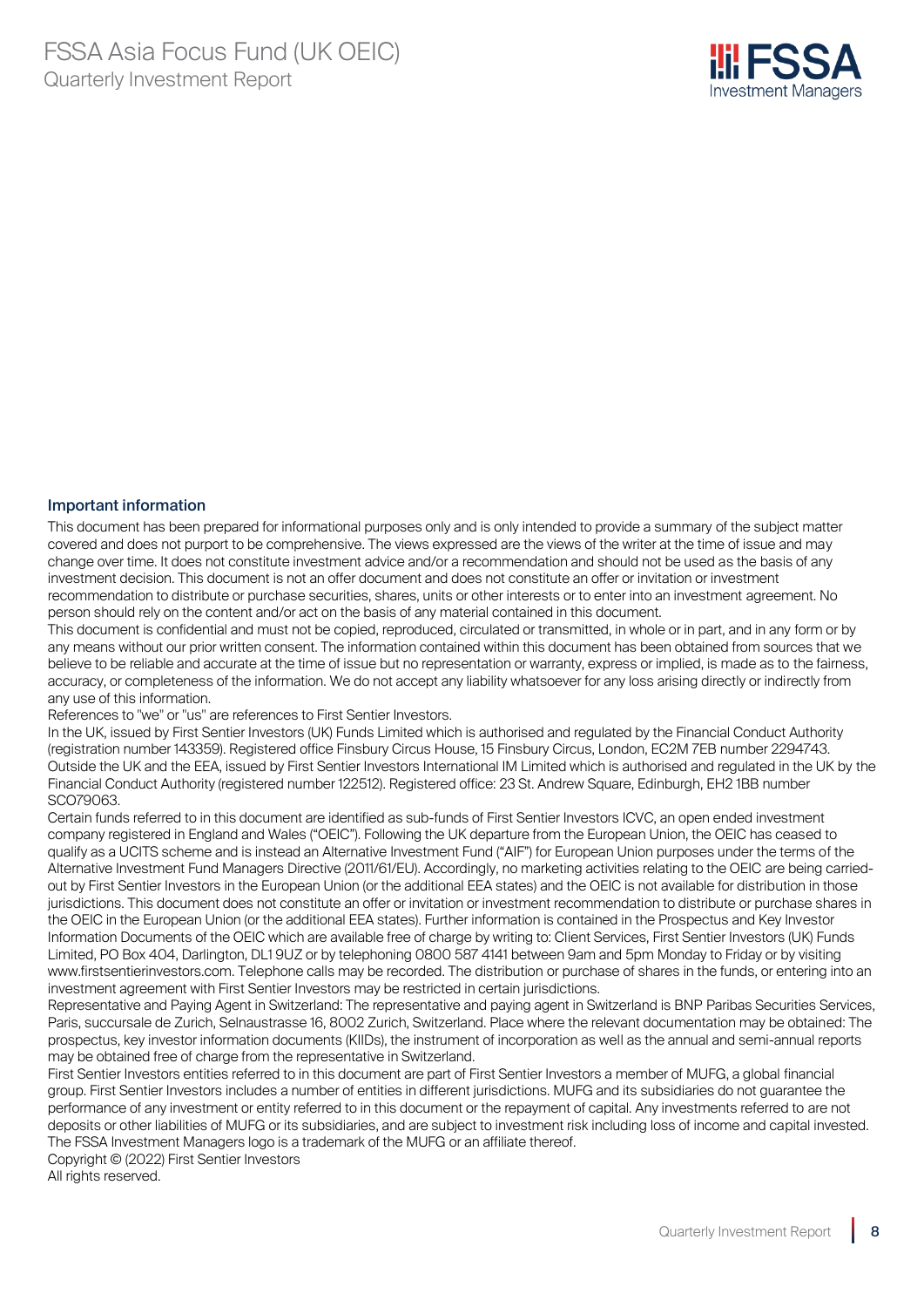

#### Important information

This document has been prepared for informational purposes only and is only intended to provide a summary of the subject matter covered and does not purport to be comprehensive. The views expressed are the views of the writer at the time of issue and may change over time. It does not constitute investment advice and/or a recommendation and should not be used as the basis of any investment decision. This document is not an offer document and does not constitute an offer or invitation or investment recommendation to distribute or purchase securities, shares, units or other interests or to enter into an investment agreement. No person should rely on the content and/or act on the basis of any material contained in this document.

This document is confidential and must not be copied, reproduced, circulated or transmitted, in whole or in part, and in any form or by any means without our prior written consent. The information contained within this document has been obtained from sources that we believe to be reliable and accurate at the time of issue but no representation or warranty, express or implied, is made as to the fairness, accuracy, or completeness of the information. We do not accept any liability whatsoever for any loss arising directly or indirectly from any use of this information.

References to "we" or "us" are references to First Sentier Investors.

In the UK, issued by First Sentier Investors (UK) Funds Limited which is authorised and regulated by the Financial Conduct Authority (registration number 143359). Registered office Finsbury Circus House, 15 Finsbury Circus, London, EC2M 7EB number 2294743. Outside the UK and the EEA, issued by First Sentier Investors International IM Limited which is authorised and regulated in the UK by the Financial Conduct Authority (registered number 122512). Registered office: 23 St. Andrew Square, Edinburgh, EH2 1BB number SCO79063.

Certain funds referred to in this document are identified as sub-funds of First Sentier Investors ICVC, an open ended investment company registered in England and Wales ("OEIC"). Following the UK departure from the European Union, the OEIC has ceased to qualify as a UCITS scheme and is instead an Alternative Investment Fund ("AIF") for European Union purposes under the terms of the Alternative Investment Fund Managers Directive (2011/61/EU). Accordingly, no marketing activities relating to the OEIC are being carriedout by First Sentier Investors in the European Union (or the additional EEA states) and the OEIC is not available for distribution in those jurisdictions. This document does not constitute an offer or invitation or investment recommendation to distribute or purchase shares in the OEIC in the European Union (or the additional EEA states). Further information is contained in the Prospectus and Key Investor Information Documents of the OEIC which are available free of charge by writing to: Client Services, First Sentier Investors (UK) Funds Limited, PO Box 404, Darlington, DL1 9UZ or by telephoning 0800 587 4141 between 9am and 5pm Monday to Friday or by visiting www.firstsentierinvestors.com. Telephone calls may be recorded. The distribution or purchase of shares in the funds, or entering into an investment agreement with First Sentier Investors may be restricted in certain jurisdictions.

Representative and Paying Agent in Switzerland: The representative and paying agent in Switzerland is BNP Paribas Securities Services, Paris, succursale de Zurich, Selnaustrasse 16, 8002 Zurich, Switzerland. Place where the relevant documentation may be obtained: The prospectus, key investor information documents (KIIDs), the instrument of incorporation as well as the annual and semi-annual reports may be obtained free of charge from the representative in Switzerland.

First Sentier Investors entities referred to in this document are part of First Sentier Investors a member of MUFG, a global financial group. First Sentier Investors includes a number of entities in different jurisdictions. MUFG and its subsidiaries do not guarantee the performance of any investment or entity referred to in this document or the repayment of capital. Any investments referred to are not deposits or other liabilities of MUFG or its subsidiaries, and are subject to investment risk including loss of income and capital invested. The FSSA Investment Managers logo is a trademark of the MUFG or an affiliate thereof.

Copyright © (2022) First Sentier Investors All rights reserved.